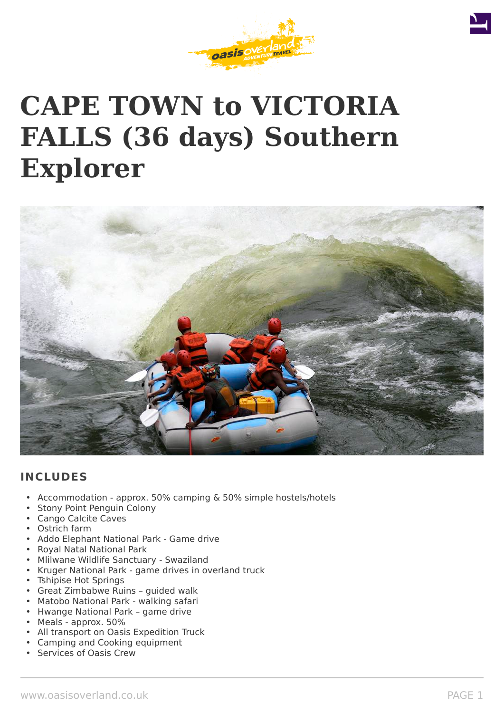



# **CAPE TOWN to VICTORIA FALLS (36 days) Southern Explorer**



# **INCLUDES**

- Accommodation approx. 50% camping & 50% simple hostels/hotels
- Stony Point Penguin Colony
- Cango Calcite Caves
- Ostrich farm
- Addo Elephant National Park Game drive
- Royal Natal National Park
- Mlilwane Wildlife Sanctuary Swaziland
- Kruger National Park game drives in overland truck
- Tshipise Hot Springs
- Great Zimbabwe Ruins guided walk
- Matobo National Park walking safari
- Hwange National Park game drive
- Meals approx. 50%
- All transport on Oasis Expedition Truck
- Camping and Cooking equipment
- Services of Oasis Crew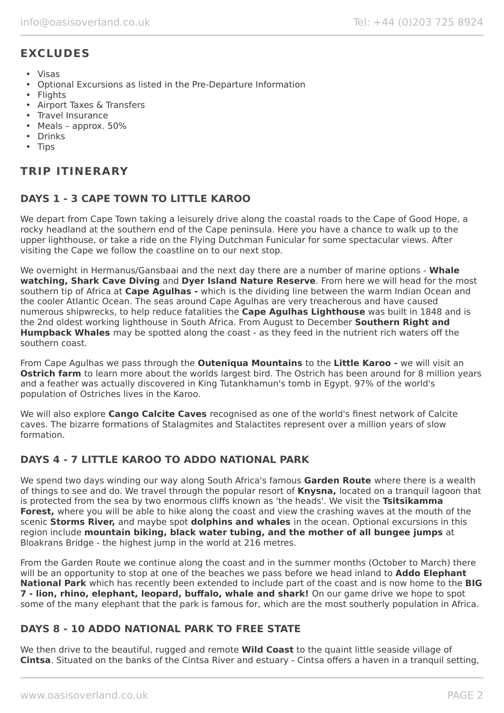# **EXCLUDES**

- Visas
- Optional Excursions as listed in the Pre-Departure Information
- Flights
- Airport Taxes & Transfers
- Travel Insurance
- Meals approx. 50%
- Drinks
- Tips

# **TRIP ITINERARY**

# **DAYS 1 - 3 CAPE TOWN TO LITTLE KAROO**

We depart from Cape Town taking a leisurely drive along the coastal roads to the Cape of Good Hope, a rocky headland at the southern end of the Cape peninsula. Here you have a chance to walk up to the upper lighthouse, or take a ride on the Flying Dutchman Funicular for some spectacular views. After visiting the Cape we follow the coastline on to our next stop.

We overnight in Hermanus/Gansbaai and the next day there are a number of marine options - **Whale watching, Shark Cave Diving** and **Dyer Island Nature Reserve**. From here we will head for the most southern tip of Africa at **Cape Agulhas -** which is the dividing line between the warm Indian Ocean and the cooler Atlantic Ocean. The seas around Cape Agulhas are very treacherous and have caused numerous shipwrecks, to help reduce fatalities the **Cape Agulhas Lighthouse** was built in 1848 and is the 2nd oldest working lighthouse in South Africa. From August to December **Southern Right and Humpback Whales** may be spotted along the coast - as they feed in the nutrient rich waters off the southern coast.

From Cape Agulhas we pass through the **Outeniqua Mountains** to the **Little Karoo -** we will visit an **Ostrich farm** to learn more about the worlds largest bird. The Ostrich has been around for 8 million years and a feather was actually discovered in King Tutankhamun's tomb in Egypt. 97% of the world's population of Ostriches lives in the Karoo.

We will also explore **Cango Calcite Caves** recognised as one of the world's finest network of Calcite caves. The bizarre formations of Stalagmites and Stalactites represent over a million years of slow formation.

#### **DAYS 4 - 7 LITTLE KAROO TO ADDO NATIONAL PARK**

We spend two days winding our way along South Africa's famous **Garden Route** where there is a wealth of things to see and do. We travel through the popular resort of **Knysna,** located on a tranquil lagoon that is protected from the sea by two enormous cliffs known as 'the heads'. We visit the **Tsitsikamma Forest,** where you will be able to hike along the coast and view the crashing waves at the mouth of the scenic **Storms River,** and maybe spot **dolphins and whales** in the ocean. Optional excursions in this region include **mountain biking, black water tubing, and the mother of all bungee jumps** at Bloakrans Bridge - the highest jump in the world at 216 metres.

From the Garden Route we continue along the coast and in the summer months (October to March) there will be an opportunity to stop at one of the beaches we pass before we head inland to **Addo Elephant National Park** which has recently been extended to include part of the coast and is now home to the **BIG 7 - lion, rhino, elephant, leopard, buffalo, whale and shark!** On our game drive we hope to spot some of the many elephant that the park is famous for, which are the most southerly population in Africa.

#### **DAYS 8 - 10 ADDO NATIONAL PARK TO FREE STATE**

We then drive to the beautiful, rugged and remote **Wild Coast** to the quaint little seaside village of **Cintsa**. Situated on the banks of the Cintsa River and estuary - Cintsa offers a haven in a tranquil setting,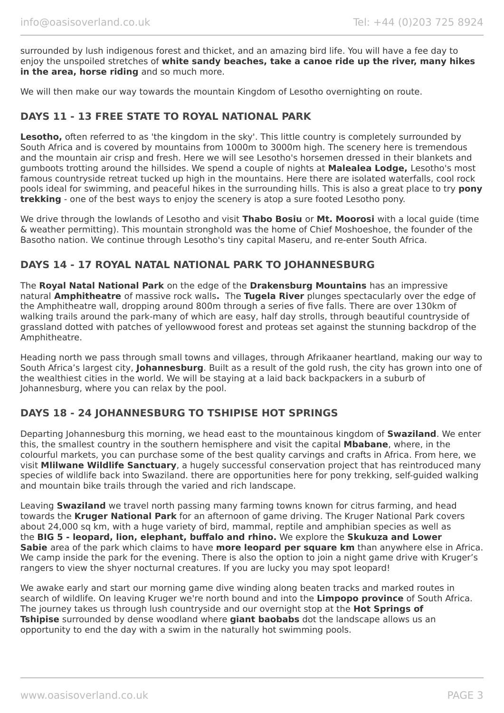surrounded by lush indigenous forest and thicket, and an amazing bird life. You will have a fee day to enjoy the unspoiled stretches of **white sandy beaches, take a canoe ride up the river, many hikes in the area, horse riding** and so much more.

We will then make our way towards the mountain Kingdom of Lesotho overnighting on route.

## **DAYS 11 - 13 FREE STATE TO ROYAL NATIONAL PARK**

Lesotho, often referred to as 'the kingdom in the sky'. This little country is completely surrounded by South Africa and is covered by mountains from 1000m to 3000m high. The scenery here is tremendous and the mountain air crisp and fresh. Here we will see Lesotho's horsemen dressed in their blankets and gumboots trotting around the hillsides. We spend a couple of nights at **Malealea Lodge,** Lesotho's most famous countryside retreat tucked up high in the mountains. Here there are isolated waterfalls, cool rock pools ideal for swimming, and peaceful hikes in the surrounding hills. This is also a great place to try **pony trekking** - one of the best ways to enjoy the scenery is atop a sure footed Lesotho pony.

We drive through the lowlands of Lesotho and visit **Thabo Bosiu** or **Mt. Moorosi** with a local guide (time & weather permitting). This mountain stronghold was the home of Chief Moshoeshoe, the founder of the Basotho nation. We continue through Lesotho's tiny capital Maseru, and re-enter South Africa.

#### **DAYS 14 - 17 ROYAL NATAL NATIONAL PARK TO JOHANNESBURG**

The **Royal Natal National Park** on the edge of the **Drakensburg Mountains** has an impressive natural **Amphitheatre** of massive rock walls**.** The **Tugela River** plunges spectacularly over the edge of the Amphitheatre wall, dropping around 800m through a series of five falls. There are over 130km of walking trails around the park-many of which are easy, half day strolls, through beautiful countryside of grassland dotted with patches of yellowwood forest and proteas set against the stunning backdrop of the Amphitheatre.

Heading north we pass through small towns and villages, through Afrikaaner heartland, making our way to South Africa's largest city, **Johannesburg**. Built as a result of the gold rush, the city has grown into one of the wealthiest cities in the world. We will be staying at a laid back backpackers in a suburb of Johannesburg, where you can relax by the pool.

#### **DAYS 18 - 24 JOHANNESBURG TO TSHIPISE HOT SPRINGS**

Departing Johannesburg this morning, we head east to the mountainous kingdom of **Swaziland**. We enter this, the smallest country in the southern hemisphere and visit the capital **Mbabane**, where, in the colourful markets, you can purchase some of the best quality carvings and crafts in Africa. From here, we visit **Mlilwane Wildlife Sanctuary**, a hugely successful conservation project that has reintroduced many species of wildlife back into Swaziland. there are opportunities here for pony trekking, self-guided walking and mountain bike trails through the varied and rich landscape.

Leaving **Swaziland** we travel north passing many farming towns known for citrus farming, and head towards the **Kruger National Park** for an afternoon of game driving. The Kruger National Park covers about 24,000 sq km, with a huge variety of bird, mammal, reptile and amphibian species as well as the **BIG 5 - leopard, lion, elephant, buffalo and rhino.** We explore the **Skukuza and Lower Sabie** area of the park which claims to have **more leopard per square km** than anywhere else in Africa. We camp inside the park for the evening. There is also the option to join a night game drive with Kruger's rangers to view the shyer nocturnal creatures. If you are lucky you may spot leopard!

We awake early and start our morning game dive winding along beaten tracks and marked routes in search of wildlife. On leaving Kruger we're north bound and into the **Limpopo province** of South Africa. The journey takes us through lush countryside and our overnight stop at the **Hot Springs of Tshipise** surrounded by dense woodland where **giant baobabs** dot the landscape allows us an opportunity to end the day with a swim in the naturally hot swimming pools.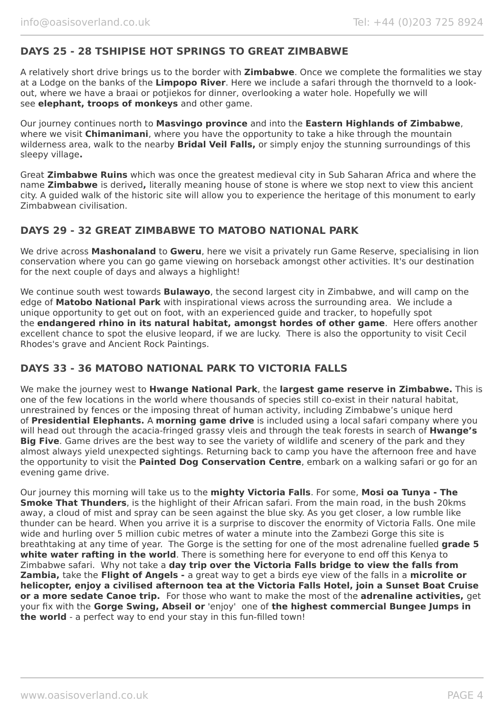### **DAYS 25 - 28 TSHIPISE HOT SPRINGS TO GREAT ZIMBABWE**

A relatively short drive brings us to the border with **Zimbabwe**. Once we complete the formalities we stay at a Lodge on the banks of the **Limpopo River**. Here we include a safari through the thornveld to a lookout, where we have a braai or potjiekos for dinner, overlooking a water hole. Hopefully we will see **elephant, troops of monkeys** and other game.

Our journey continues north to **Masvingo province** and into the **Eastern Highlands of Zimbabwe**, where we visit **Chimanimani**, where you have the opportunity to take a hike through the mountain wilderness area, walk to the nearby **Bridal Veil Falls,** or simply enjoy the stunning surroundings of this sleepy village**.**

Great **Zimbabwe Ruins** which was once the greatest medieval city in Sub Saharan Africa and where the name **Zimbabwe** is derived**,** literally meaning house of stone is where we stop next to view this ancient city. A guided walk of the historic site will allow you to experience the heritage of this monument to early Zimbabwean civilisation.

#### **DAYS 29 - 32 GREAT ZIMBABWE TO MATOBO NATIONAL PARK**

We drive across **Mashonaland** to **Gweru**, here we visit a privately run Game Reserve, specialising in lion conservation where you can go game viewing on horseback amongst other activities. It's our destination for the next couple of days and always a highlight!

We continue south west towards **Bulawayo**, the second largest city in Zimbabwe, and will camp on the edge of **Matobo National Park** with inspirational views across the surrounding area. We include a unique opportunity to get out on foot, with an experienced guide and tracker, to hopefully spot the **endangered rhino in its natural habitat, amongst hordes of other game**. Here offers another excellent chance to spot the elusive leopard, if we are lucky. There is also the opportunity to visit Cecil Rhodes's grave and Ancient Rock Paintings.

#### **DAYS 33 - 36 MATOBO NATIONAL PARK TO VICTORIA FALLS**

We make the journey west to **Hwange National Park**, the **largest game reserve in Zimbabwe.** This is one of the few locations in the world where thousands of species still co-exist in their natural habitat, unrestrained by fences or the imposing threat of human activity, including Zimbabwe's unique herd of **Presidential Elephants.** A **morning game drive** is included using a local safari company where you will head out through the acacia-fringed grassy vleis and through the teak forests in search of **Hwange's Big Five**. Game drives are the best way to see the variety of wildlife and scenery of the park and they almost always yield unexpected sightings. Returning back to camp you have the afternoon free and have the opportunity to visit the **Painted Dog Conservation Centre**, embark on a walking safari or go for an evening game drive.

Our journey this morning will take us to the **mighty Victoria Falls**. For some, **Mosi oa Tunya - The Smoke That Thunders**, is the highlight of their African safari. From the main road, in the bush 20kms away, a cloud of mist and spray can be seen against the blue sky. As you get closer, a low rumble like thunder can be heard. When you arrive it is a surprise to discover the enormity of Victoria Falls. One mile wide and hurling over 5 million cubic metres of water a minute into the Zambezi Gorge this site is breathtaking at any time of year. The Gorge is the setting for one of the most adrenaline fuelled **grade 5** white water rafting in the world. There is something here for everyone to end off this Kenya to Zimbabwe safari. Why not take a **day trip over the Victoria Falls bridge to view the falls from Zambia,** take the **Flight of Angels -** a great way to get a birds eye view of the falls in a **microlite or helicopter, enjoy a civilised afternoon tea at the Victoria Falls Hotel, join a Sunset Boat Cruise or a more sedate Canoe trip.** For those who want to make the most of the **adrenaline activities,** get your fix with the **Gorge Swing, Abseil or** 'enjoy' one of **the highest commercial Bungee Jumps in the world** - a perfect way to end your stay in this fun-filled town!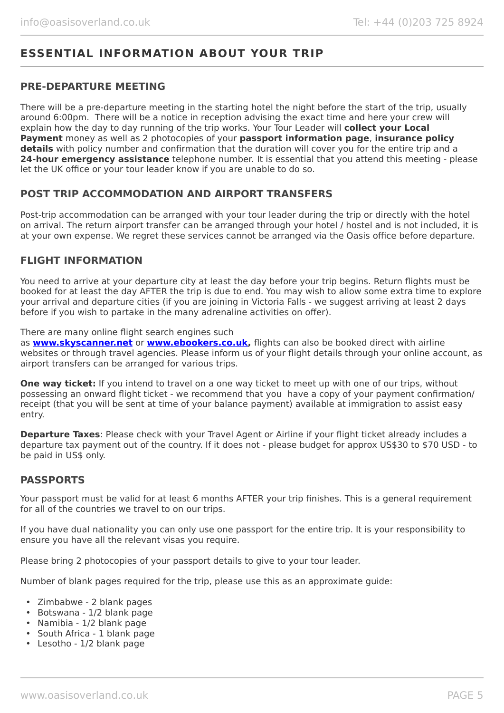# **ESSENTIAL INFORMATION ABOUT YOUR TRIP**

#### **PRE-DEPARTURE MEETING**

There will be a pre-departure meeting in the starting hotel the night before the start of the trip, usually around 6:00pm. There will be a notice in reception advising the exact time and here your crew will explain how the day to day running of the trip works. Your Tour Leader will **collect your Local Payment** money as well as 2 photocopies of your **passport information page**, **insurance policy details** with policy number and confirmation that the duration will cover you for the entire trip and a **24-hour emergency assistance** telephone number. It is essential that you attend this meeting - please let the UK office or your tour leader know if you are unable to do so.

#### **POST TRIP ACCOMMODATION AND AIRPORT TRANSFERS**

Post-trip accommodation can be arranged with your tour leader during the trip or directly with the hotel on arrival. The return airport transfer can be arranged through your hotel / hostel and is not included, it is at your own expense. We regret these services cannot be arranged via the Oasis office before departure.

#### **FLIGHT INFORMATION**

You need to arrive at your departure city at least the day before your trip begins. Return flights must be booked for at least the day AFTER the trip is due to end. You may wish to allow some extra time to explore your arrival and departure cities (if you are joining in Victoria Falls - we suggest arriving at least 2 days before if you wish to partake in the many adrenaline activities on offer).

There are many online flight search engines such

as **[www.skyscanner.net](http://www.dpbolvw.net/click-5720161-10639348)** or **[www.ebookers.co.uk,](http://www.ebookers.co.uk/)** flights can also be booked direct with airline websites or through travel agencies. Please inform us of your flight details through your online account, as airport transfers can be arranged for various trips.

**One way ticket:** If you intend to travel on a one way ticket to meet up with one of our trips, without possessing an onward flight ticket - we recommend that you have a copy of your payment confirmation/ receipt (that you will be sent at time of your balance payment) available at immigration to assist easy entry.

**Departure Taxes:** Please check with your Travel Agent or Airline if your flight ticket already includes a departure tax payment out of the country. If it does not - please budget for approx US\$30 to \$70 USD - to be paid in US\$ only.

#### **PASSPORTS**

Your passport must be valid for at least 6 months AFTER your trip finishes. This is a general requirement for all of the countries we travel to on our trips.

If you have dual nationality you can only use one passport for the entire trip. It is your responsibility to ensure you have all the relevant visas you require.

Please bring 2 photocopies of your passport details to give to your tour leader.

Number of blank pages required for the trip, please use this as an approximate guide:

- Zimbabwe 2 blank pages
- Botswana 1/2 blank page
- Namibia 1/2 blank page
- South Africa 1 blank page
- Lesotho 1/2 blank page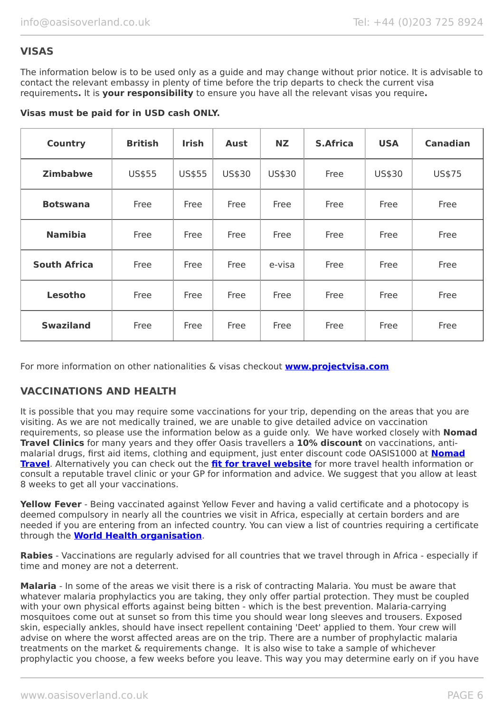## **VISAS**

The information below is to be used only as a guide and may change without prior notice. It is advisable to contact the relevant embassy in plenty of time before the trip departs to check the current visa requirements**.** It is **your responsibility** to ensure you have all the relevant visas you require**.**

|  |  |  |  |  |  |  |  |  | Visas must be paid for in USD cash ONLY. |
|--|--|--|--|--|--|--|--|--|------------------------------------------|
|--|--|--|--|--|--|--|--|--|------------------------------------------|

| <b>Country</b>      | <b>British</b> | <b>Irish</b> | <b>Aust</b> | <b>NZ</b> | <b>S.Africa</b> | <b>USA</b> | <b>Canadian</b> |
|---------------------|----------------|--------------|-------------|-----------|-----------------|------------|-----------------|
| <b>Zimbabwe</b>     | US\$55         | US\$55       | US\$30      | US\$30    | Free            | US\$30     | US\$75          |
| <b>Botswana</b>     | Free           | Free         | Free        | Free      | Free            | Free       | Free            |
| <b>Namibia</b>      | Free           | Free         | Free        | Free      | Free            | Free       | Free            |
| <b>South Africa</b> | Free           | Free         | Free        | e-visa    | Free            | Free       | Free            |
| Lesotho             | Free           | Free         | Free        | Free      | Free            | Free       | Free            |
| <b>Swaziland</b>    | Free           | Free         | Free        | Free      | Free            | Free       | Free            |

For more information on other nationalities & visas checkout **[www.projectvisa.com](http://www.projectvisa.com/)**

#### **VACCINATIONS AND HEALTH**

It is possible that you may require some vaccinations for your trip, depending on the areas that you are visiting. As we are not medically trained, we are unable to give detailed advice on vaccination requirements, so please use the information below as a guide only. We have worked closely with **Nomad Travel Clinics** for many years and they offer Oasis travellers a **10% discount** on vaccinations, antimalarial drugs, first aid items, clothing and equipment, just enter discount code OASIS1000 at **[Nomad](http://www.nomadtravel.co.uk/) [Travel](http://www.nomadtravel.co.uk/)**. Alternatively you can check out the **[fit for travel website](https://www.fitfortravel.nhs.uk/home)** for more travel health information or consult a reputable travel clinic or your GP for information and advice. We suggest that you allow at least 8 weeks to get all your vaccinations.

Yellow Fever - Being vaccinated against Yellow Fever and having a valid certificate and a photocopy is deemed compulsory in nearly all the countries we visit in Africa, especially at certain borders and are needed if you are entering from an infected country. You can view a list of countries requiring a certificate through the **[World Health organisation](http://www.who.int/ith/ITH_country_list.pdf)**.

**Rabies** - Vaccinations are regularly advised for all countries that we travel through in Africa - especially if time and money are not a deterrent.

**Malaria** - In some of the areas we visit there is a risk of contracting Malaria. You must be aware that whatever malaria prophylactics you are taking, they only offer partial protection. They must be coupled with your own physical efforts against being bitten - which is the best prevention. Malaria-carrying mosquitoes come out at sunset so from this time you should wear long sleeves and trousers. Exposed skin, especially ankles, should have insect repellent containing 'Deet' applied to them. Your crew will advise on where the worst affected areas are on the trip. There are a number of prophylactic malaria treatments on the market & requirements change. It is also wise to take a sample of whichever prophylactic you choose, a few weeks before you leave. This way you may determine early on if you have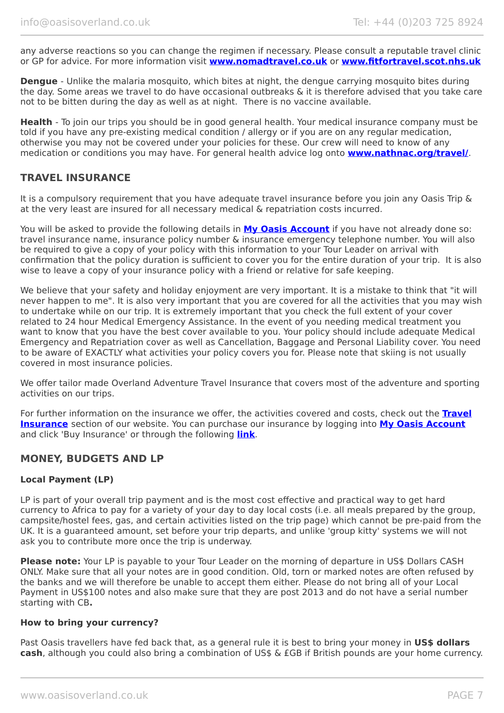any adverse reactions so you can change the regimen if necessary. Please consult a reputable travel clinic or GP for advice. For more information visit **[www.nomadtravel.co.uk](http://www.nomadtravel.co.uk/)** or **[www.fitfortravel.scot.nhs.uk](http://www.fitfortravel.scot.nhs.uk/)**

**Dengue** - Unlike the malaria mosquito, which bites at night, the dengue carrying mosquito bites during the day. Some areas we travel to do have occasional outbreaks & it is therefore advised that you take care not to be bitten during the day as well as at night. There is no vaccine available.

**Health** - To join our trips you should be in good general health. Your medical insurance company must be told if you have any pre-existing medical condition / allergy or if you are on any regular medication, otherwise you may not be covered under your policies for these. Our crew will need to know of any medication or conditions you may have. For general health advice log onto **[www.nathnac.org/travel/](http://www.nathnac.org/travel/)**.

#### **TRAVEL INSURANCE**

It is a compulsory requirement that you have adequate travel insurance before you join any Oasis Trip & at the very least are insured for all necessary medical & repatriation costs incurred.

You will be asked to provide the following details in **My [Oasis Account](https://oasisportal.eecsoftware.com/)** if you have not already done so: travel insurance name, insurance policy number & insurance emergency telephone number. You will also be required to give a copy of your policy with this information to your Tour Leader on arrival with confirmation that the policy duration is sufficient to cover you for the entire duration of your trip. It is also wise to leave a copy of your insurance policy with a friend or relative for safe keeping.

We believe that your safety and holiday enjoyment are very important. It is a mistake to think that "it will never happen to me". It is also very important that you are covered for all the activities that you may wish to undertake while on our trip. It is extremely important that you check the full extent of your cover related to 24 hour Medical Emergency Assistance. In the event of you needing medical treatment you want to know that you have the best cover available to you. Your policy should include adequate Medical Emergency and Repatriation cover as well as Cancellation, Baggage and Personal Liability cover. You need to be aware of EXACTLY what activities your policy covers you for. Please note that skiing is not usually covered in most insurance policies.

We offer tailor made Overland Adventure Travel Insurance that covers most of the adventure and sporting activities on our trips.

For further information on the insurance we offer, the activities covered and costs, check out the **[Travel](https://www.oasisoverland.co.uk/travel-insurance) [Insurance](https://www.oasisoverland.co.uk/travel-insurance)** section of our website. You can purchase our insurance by logging into [My Oasis Account](https://oasisportal.eecsoftware.com/) and click 'Buy Insurance' or through the following **[link](https://www.campbellirvinedirect.com/oasisoverland/)**.

#### **MONEY, BUDGETS AND LP**

#### **Local Payment (LP)**

LP is part of your overall trip payment and is the most cost effective and practical way to get hard currency to Africa to pay for a variety of your day to day local costs (i.e. all meals prepared by the group, campsite/hostel fees, gas, and certain activities listed on the trip page) which cannot be pre-paid from the UK. It is a guaranteed amount, set before your trip departs, and unlike 'group kitty' systems we will not ask you to contribute more once the trip is underway.

**Please note:** Your LP is payable to your Tour Leader on the morning of departure in US\$ Dollars CASH ONLY. Make sure that all your notes are in good condition. Old, torn or marked notes are often refused by the banks and we will therefore be unable to accept them either. Please do not bring all of your Local Payment in US\$100 notes and also make sure that they are post 2013 and do not have a serial number starting with CB**.**

#### **How to bring your currency?**

Past Oasis travellers have fed back that, as a general rule it is best to bring your money in **US\$ dollars cash**, although you could also bring a combination of US\$ & £GB if British pounds are your home currency.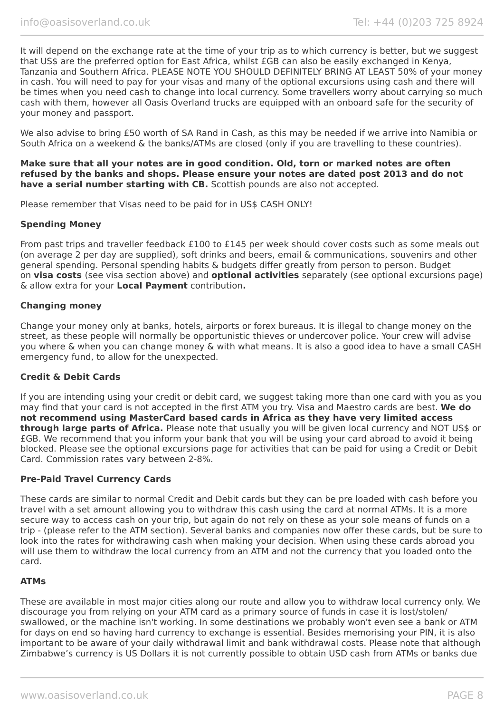It will depend on the exchange rate at the time of your trip as to which currency is better, but we suggest that US\$ are the preferred option for East Africa, whilst £GB can also be easily exchanged in Kenya, Tanzania and Southern Africa. PLEASE NOTE YOU SHOULD DEFINITELY BRING AT LEAST 50% of your money in cash. You will need to pay for your visas and many of the optional excursions using cash and there will be times when you need cash to change into local currency. Some travellers worry about carrying so much cash with them, however all Oasis Overland trucks are equipped with an onboard safe for the security of your money and passport.

We also advise to bring £50 worth of SA Rand in Cash, as this may be needed if we arrive into Namibia or South Africa on a weekend & the banks/ATMs are closed (only if you are travelling to these countries).

**Make sure that all your notes are in good condition. Old, torn or marked notes are often refused by the banks and shops. Please ensure your notes are dated post 2013 and do not have a serial number starting with CB.** Scottish pounds are also not accepted.

Please remember that Visas need to be paid for in US\$ CASH ONLY!

#### **Spending Money**

From past trips and traveller feedback £100 to £145 per week should cover costs such as some meals out (on average 2 per day are supplied), soft drinks and beers, email & communications, souvenirs and other general spending. Personal spending habits & budgets differ greatly from person to person. Budget on **visa costs** (see visa section above) and **optional activities** separately (see optional excursions page) & allow extra for your **Local Payment** contribution**.**

#### **Changing money**

Change your money only at banks, hotels, airports or forex bureaus. It is illegal to change money on the street, as these people will normally be opportunistic thieves or undercover police. Your crew will advise you where & when you can change money & with what means. It is also a good idea to have a small CASH emergency fund, to allow for the unexpected.

#### **Credit & Debit Cards**

If you are intending using your credit or debit card, we suggest taking more than one card with you as you may find that your card is not accepted in the first ATM you try. Visa and Maestro cards are best. **We do not recommend using MasterCard based cards in Africa as they have very limited access through large parts of Africa.** Please note that usually you will be given local currency and NOT US\$ or £GB. We recommend that you inform your bank that you will be using your card abroad to avoid it being blocked. Please see the optional excursions page for activities that can be paid for using a Credit or Debit Card. Commission rates vary between 2-8%.

#### **Pre-Paid Travel Currency Cards**

These cards are similar to normal Credit and Debit cards but they can be pre loaded with cash before you travel with a set amount allowing you to withdraw this cash using the card at normal ATMs. It is a more secure way to access cash on your trip, but again do not rely on these as your sole means of funds on a trip - (please refer to the ATM section). Several banks and companies now offer these cards, but be sure to look into the rates for withdrawing cash when making your decision. When using these cards abroad you will use them to withdraw the local currency from an ATM and not the currency that you loaded onto the card.

#### **ATMs**

These are available in most major cities along our route and allow you to withdraw local currency only. We discourage you from relying on your ATM card as a primary source of funds in case it is lost/stolen/ swallowed, or the machine isn't working. In some destinations we probably won't even see a bank or ATM for days on end so having hard currency to exchange is essential. Besides memorising your PIN, it is also important to be aware of your daily withdrawal limit and bank withdrawal costs. Please note that although Zimbabwe's currency is US Dollars it is not currently possible to obtain USD cash from ATMs or banks due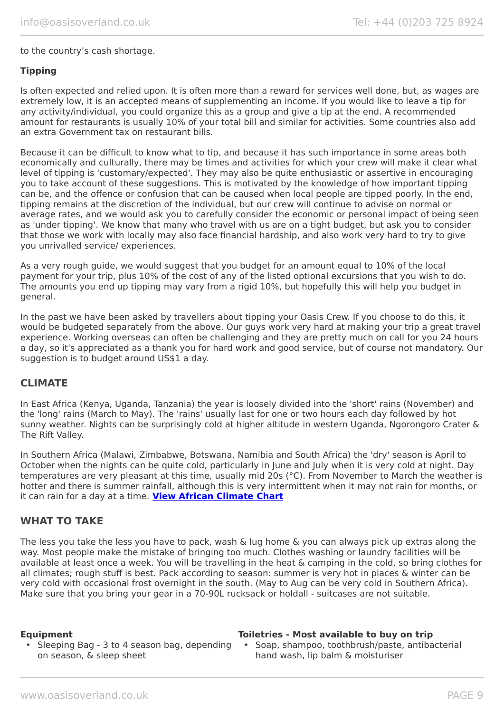#### to the country's cash shortage.

#### **Tipping**

Is often expected and relied upon. It is often more than a reward for services well done, but, as wages are extremely low, it is an accepted means of supplementing an income. If you would like to leave a tip for any activity/individual, you could organize this as a group and give a tip at the end. A recommended amount for restaurants is usually 10% of your total bill and similar for activities. Some countries also add an extra Government tax on restaurant bills.

Because it can be difficult to know what to tip, and because it has such importance in some areas both economically and culturally, there may be times and activities for which your crew will make it clear what level of tipping is 'customary/expected'. They may also be quite enthusiastic or assertive in encouraging you to take account of these suggestions. This is motivated by the knowledge of how important tipping can be, and the offence or confusion that can be caused when local people are tipped poorly. In the end, tipping remains at the discretion of the individual, but our crew will continue to advise on normal or average rates, and we would ask you to carefully consider the economic or personal impact of being seen as 'under tipping'. We know that many who travel with us are on a tight budget, but ask you to consider that those we work with locally may also face financial hardship, and also work very hard to try to give you unrivalled service/ experiences.

As a very rough guide, we would suggest that you budget for an amount equal to 10% of the local payment for your trip, plus 10% of the cost of any of the listed optional excursions that you wish to do. The amounts you end up tipping may vary from a rigid 10%, but hopefully this will help you budget in general.

In the past we have been asked by travellers about tipping your Oasis Crew. If you choose to do this, it would be budgeted separately from the above. Our guys work very hard at making your trip a great travel experience. Working overseas can often be challenging and they are pretty much on call for you 24 hours a day, so it's appreciated as a thank you for hard work and good service, but of course not mandatory. Our suggestion is to budget around US\$1 a day.

#### **CLIMATE**

In East Africa (Kenya, Uganda, Tanzania) the year is loosely divided into the 'short' rains (November) and the 'long' rains (March to May). The 'rains' usually last for one or two hours each day followed by hot sunny weather. Nights can be surprisingly cold at higher altitude in western Uganda, Ngorongoro Crater & The Rift Valley.

In Southern Africa (Malawi, Zimbabwe, Botswana, Namibia and South Africa) the 'dry' season is April to October when the nights can be quite cold, particularly in June and July when it is very cold at night. Day temperatures are very pleasant at this time, usually mid 20s (°C). From November to March the weather is hotter and there is summer rainfall, although this is very intermittent when it may not rain for months, or it can rain for a day at a time. **[View African Climate Chart](https://www.oasisoverland.co.uk/africa-climate-chart)**

#### **WHAT TO TAKE**

The less you take the less you have to pack, wash & lug home & you can always pick up extras along the way. Most people make the mistake of bringing too much. Clothes washing or laundry facilities will be available at least once a week. You will be travelling in the heat & camping in the cold, so bring clothes for all climates; rough stuff is best. Pack according to season: summer is very hot in places & winter can be very cold with occasional frost overnight in the south. (May to Aug can be very cold in Southern Africa). Make sure that you bring your gear in a 70-90L rucksack or holdall - suitcases are not suitable.

#### • Sleeping Bag - 3 to 4 season bag, depending • Soap, shampoo, toothbrush/paste, antibacterial on season, & sleep sheet

#### **Equipment Toiletries - Most available to buy on trip**

hand wash, lip balm & moisturiser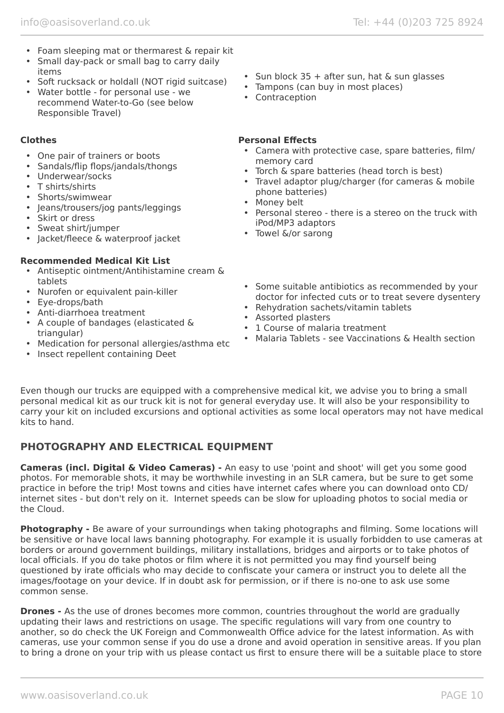- Foam sleeping mat or thermarest & repair kit
- Small day-pack or small bag to carry daily items
- Soft rucksack or holdall (NOT rigid suitcase)
- Water bottle for personal use we recommend Water-to-Go (see below Responsible Travel)

- One pair of trainers or boots
- Sandals/flip flops/jandals/thongs
- Underwear/socks
- T shirts/shirts
- Shorts/swimwear
- Jeans/trousers/jog pants/leggings
- Skirt or dress
- Sweat shirt/jumper
- Jacket/fleece & waterproof jacket

#### **Recommended Medical Kit List**

- Antiseptic ointment/Antihistamine cream & tablets
- Nurofen or equivalent pain-killer
- Eye-drops/bath
- Anti-diarrhoea treatment
- A couple of bandages (elasticated & triangular)
- Medication for personal allergies/asthma etc
- Insect repellent containing Deet
- Sun block  $35 +$  after sun, hat & sun glasses
- Tampons (can buy in most places)
- Contraception

#### **Clothes Personal Effects**

- Camera with protective case, spare batteries, film/ memory card
- Torch & spare batteries (head torch is best)
- Travel adaptor plug/charger (for cameras & mobile phone batteries)
- Money belt
- Personal stereo there is a stereo on the truck with iPod/MP3 adaptors
- Towel &/or sarong
- Some suitable antibiotics as recommended by your doctor for infected cuts or to treat severe dysentery
- Rehydration sachets/vitamin tablets
- Assorted plasters
- 1 Course of malaria treatment
- Malaria Tablets see Vaccinations & Health section

Even though our trucks are equipped with a comprehensive medical kit, we advise you to bring a small personal medical kit as our truck kit is not for general everyday use. It will also be your responsibility to carry your kit on included excursions and optional activities as some local operators may not have medical kits to hand.

# **PHOTOGRAPHY AND ELECTRICAL EQUIPMENT**

**Cameras (incl. Digital & Video Cameras) -** An easy to use 'point and shoot' will get you some good photos. For memorable shots, it may be worthwhile investing in an SLR camera, but be sure to get some practice in before the trip! Most towns and cities have internet cafes where you can download onto CD/ internet sites - but don't rely on it. Internet speeds can be slow for uploading photos to social media or the Cloud.

**Photography -** Be aware of your surroundings when taking photographs and filming. Some locations will be sensitive or have local laws banning photography. For example it is usually forbidden to use cameras at borders or around government buildings, military installations, bridges and airports or to take photos of local officials. If you do take photos or film where it is not permitted you may find yourself being questioned by irate officials who may decide to confiscate your camera or instruct you to delete all the images/footage on your device. If in doubt ask for permission, or if there is no-one to ask use some common sense.

**Drones -** As the use of drones becomes more common, countries throughout the world are gradually updating their laws and restrictions on usage. The specific regulations will vary from one country to another, so do check the UK Foreign and Commonwealth Office advice for the latest information. As with cameras, use your common sense if you do use a drone and avoid operation in sensitive areas. If you plan to bring a drone on your trip with us please contact us first to ensure there will be a suitable place to store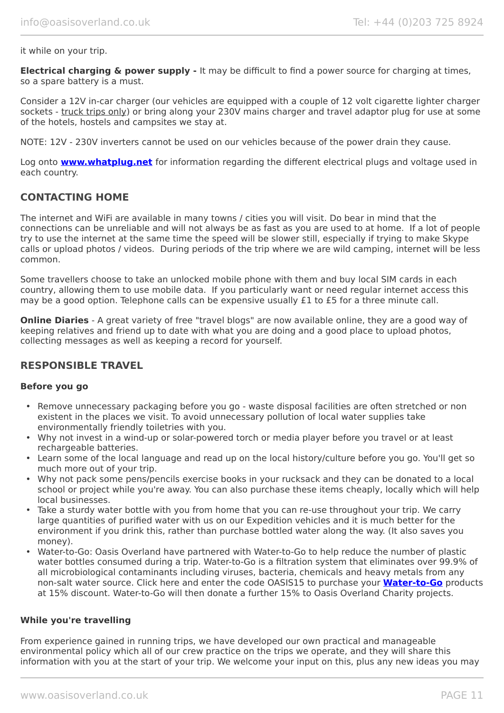it while on your trip.

**Electrical charging & power supply -** It may be difficult to find a power source for charging at times, so a spare battery is a must.

Consider a 12V in-car charger (our vehicles are equipped with a couple of 12 volt cigarette lighter charger sockets - truck trips only) or bring along your 230V mains charger and travel adaptor plug for use at some of the hotels, hostels and campsites we stay at.

NOTE: 12V - 230V inverters cannot be used on our vehicles because of the power drain they cause.

Log onto **[www.whatplug.net](http://www.whatplug.net/)** for information regarding the different electrical plugs and voltage used in each country.

#### **CONTACTING HOME**

The internet and WiFi are available in many towns / cities you will visit. Do bear in mind that the connections can be unreliable and will not always be as fast as you are used to at home. If a lot of people try to use the internet at the same time the speed will be slower still, especially if trying to make Skype calls or upload photos / videos. During periods of the trip where we are wild camping, internet will be less common.

Some travellers choose to take an unlocked mobile phone with them and buy local SIM cards in each country, allowing them to use mobile data. If you particularly want or need regular internet access this may be a good option. Telephone calls can be expensive usually £1 to £5 for a three minute call.

**Online Diaries** - A great variety of free "travel blogs" are now available online, they are a good way of keeping relatives and friend up to date with what you are doing and a good place to upload photos, collecting messages as well as keeping a record for yourself.

#### **RESPONSIBLE TRAVEL**

#### **Before you go**

- Remove unnecessary packaging before you go waste disposal facilities are often stretched or non existent in the places we visit. To avoid unnecessary pollution of local water supplies take environmentally friendly toiletries with you.
- Why not invest in a wind-up or solar-powered torch or media player before you travel or at least rechargeable batteries.
- Learn some of the local language and read up on the local history/culture before you go. You'll get so much more out of your trip.
- Why not pack some pens/pencils exercise books in your rucksack and they can be donated to a local school or project while you're away. You can also purchase these items cheaply, locally which will help local businesses.
- Take a sturdy water bottle with you from home that you can re-use throughout your trip. We carry large quantities of purified water with us on our Expedition vehicles and it is much better for the environment if you drink this, rather than purchase bottled water along the way. (It also saves you money).
- Water-to-Go: Oasis Overland have partnered with Water-to-Go to help reduce the number of plastic water bottles consumed during a trip. Water-to-Go is a filtration system that eliminates over 99.9% of all microbiological contaminants including viruses, bacteria, chemicals and heavy metals from any non-salt water source. Click here and enter the code OASIS15 to purchase your **[Water-to-Go](https://watertogo.eu/partnerships/oasisoverland/)** products at 15% discount. Water-to-Go will then donate a further 15% to Oasis Overland Charity projects.

#### **While you're travelling**

From experience gained in running trips, we have developed our own practical and manageable environmental policy which all of our crew practice on the trips we operate, and they will share this information with you at the start of your trip. We welcome your input on this, plus any new ideas you may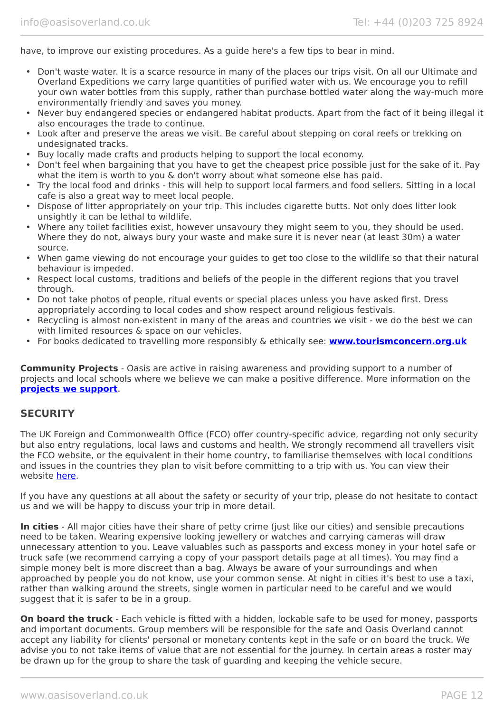have, to improve our existing procedures. As a guide here's a few tips to bear in mind.

- Don't waste water. It is a scarce resource in many of the places our trips visit. On all our Ultimate and Overland Expeditions we carry large quantities of purified water with us. We encourage you to refill your own water bottles from this supply, rather than purchase bottled water along the way-much more environmentally friendly and saves you money.
- Never buy endangered species or endangered habitat products. Apart from the fact of it being illegal it also encourages the trade to continue.
- Look after and preserve the areas we visit. Be careful about stepping on coral reefs or trekking on undesignated tracks.
- Buy locally made crafts and products helping to support the local economy.
- Don't feel when bargaining that you have to get the cheapest price possible just for the sake of it. Pay what the item is worth to you & don't worry about what someone else has paid.
- Try the local food and drinks this will help to support local farmers and food sellers. Sitting in a local cafe is also a great way to meet local people.
- Dispose of litter appropriately on your trip. This includes cigarette butts. Not only does litter look unsightly it can be lethal to wildlife.
- Where any toilet facilities exist, however unsavoury they might seem to you, they should be used. Where they do not, always bury your waste and make sure it is never near (at least 30m) a water source.
- When game viewing do not encourage your guides to get too close to the wildlife so that their natural behaviour is impeded.
- Respect local customs, traditions and beliefs of the people in the different regions that you travel through.
- Do not take photos of people, ritual events or special places unless you have asked first. Dress appropriately according to local codes and show respect around religious festivals.
- Recycling is almost non-existent in many of the areas and countries we visit we do the best we can with limited resources & space on our vehicles.
- For books dedicated to travelling more responsibly & ethically see: **[www.tourismconcern.org.uk](https://www.tourismconcern.org.uk/)**

**Community Projects** - Oasis are active in raising awareness and providing support to a number of projects and local schools where we believe we can make a positive difference. More information on the **[projects we support](https://www.oasisoverland.co.uk/responsible-travel/charities-we-support)**.

#### **SECURITY**

The UK Foreign and Commonwealth Office (FCO) offer country-specific advice, regarding not only security but also entry regulations, local laws and customs and health. We strongly recommend all travellers visit the FCO website, or the equivalent in their home country, to familiarise themselves with local conditions and issues in the countries they plan to visit before committing to a trip with us. You can view their website [here.](https://www.gov.uk/foreign-travel-advice)

If you have any questions at all about the safety or security of your trip, please do not hesitate to contact us and we will be happy to discuss your trip in more detail.

**In cities** - All major cities have their share of petty crime (just like our cities) and sensible precautions need to be taken. Wearing expensive looking jewellery or watches and carrying cameras will draw unnecessary attention to you. Leave valuables such as passports and excess money in your hotel safe or truck safe (we recommend carrying a copy of your passport details page at all times). You may find a simple money belt is more discreet than a bag. Always be aware of your surroundings and when approached by people you do not know, use your common sense. At night in cities it's best to use a taxi, rather than walking around the streets, single women in particular need to be careful and we would suggest that it is safer to be in a group.

**On board the truck** - Each vehicle is fitted with a hidden, lockable safe to be used for money, passports and important documents. Group members will be responsible for the safe and Oasis Overland cannot accept any liability for clients' personal or monetary contents kept in the safe or on board the truck. We advise you to not take items of value that are not essential for the journey. In certain areas a roster may be drawn up for the group to share the task of guarding and keeping the vehicle secure.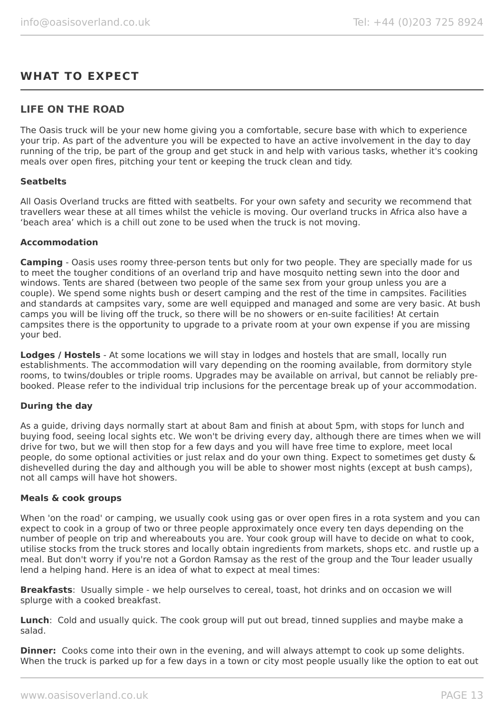# **WHAT TO EXPECT**

#### **LIFE ON THE ROAD**

The Oasis truck will be your new home giving you a comfortable, secure base with which to experience your trip. As part of the adventure you will be expected to have an active involvement in the day to day running of the trip, be part of the group and get stuck in and help with various tasks, whether it's cooking meals over open fires, pitching your tent or keeping the truck clean and tidy.

#### **Seatbelts**

All Oasis Overland trucks are fitted with seatbelts. For your own safety and security we recommend that travellers wear these at all times whilst the vehicle is moving. Our overland trucks in Africa also have a 'beach area' which is a chill out zone to be used when the truck is not moving.

#### **Accommodation**

**Camping** - Oasis uses roomy three-person tents but only for two people. They are specially made for us to meet the tougher conditions of an overland trip and have mosquito netting sewn into the door and windows. Tents are shared (between two people of the same sex from your group unless you are a couple). We spend some nights bush or desert camping and the rest of the time in campsites. Facilities and standards at campsites vary, some are well equipped and managed and some are very basic. At bush camps you will be living off the truck, so there will be no showers or en-suite facilities! At certain campsites there is the opportunity to upgrade to a private room at your own expense if you are missing your bed.

**Lodges / Hostels** - At some locations we will stay in lodges and hostels that are small, locally run establishments. The accommodation will vary depending on the rooming available, from dormitory style rooms, to twins/doubles or triple rooms. Upgrades may be available on arrival, but cannot be reliably prebooked. Please refer to the individual trip inclusions for the percentage break up of your accommodation.

#### **During the day**

As a guide, driving days normally start at about 8am and finish at about 5pm, with stops for lunch and buying food, seeing local sights etc. We won't be driving every day, although there are times when we will drive for two, but we will then stop for a few days and you will have free time to explore, meet local people, do some optional activities or just relax and do your own thing. Expect to sometimes get dusty & dishevelled during the day and although you will be able to shower most nights (except at bush camps), not all camps will have hot showers.

#### **Meals & cook groups**

When 'on the road' or camping, we usually cook using gas or over open fires in a rota system and you can expect to cook in a group of two or three people approximately once every ten days depending on the number of people on trip and whereabouts you are. Your cook group will have to decide on what to cook, utilise stocks from the truck stores and locally obtain ingredients from markets, shops etc. and rustle up a meal. But don't worry if you're not a Gordon Ramsay as the rest of the group and the Tour leader usually lend a helping hand. Here is an idea of what to expect at meal times:

**Breakfasts**: Usually simple - we help ourselves to cereal, toast, hot drinks and on occasion we will splurge with a cooked breakfast.

**Lunch**: Cold and usually quick. The cook group will put out bread, tinned supplies and maybe make a salad.

**Dinner:** Cooks come into their own in the evening, and will always attempt to cook up some delights. When the truck is parked up for a few days in a town or city most people usually like the option to eat out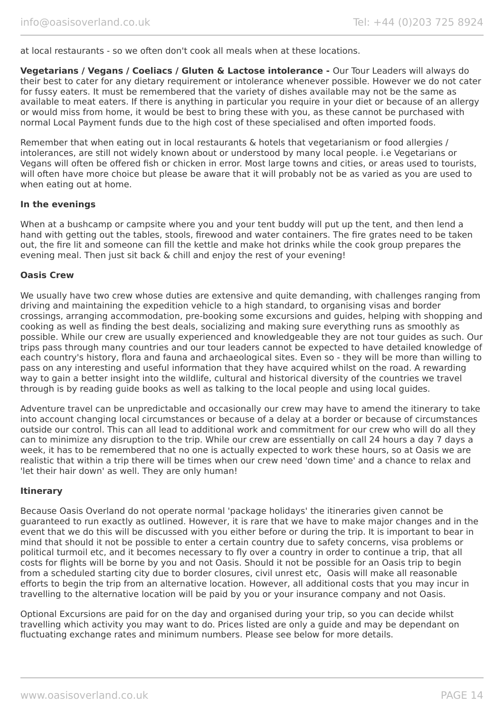at local restaurants - so we often don't cook all meals when at these locations.

**Vegetarians / Vegans / Coeliacs / Gluten & Lactose intolerance -** Our Tour Leaders will always do their best to cater for any dietary requirement or intolerance whenever possible. However we do not cater for fussy eaters. It must be remembered that the variety of dishes available may not be the same as available to meat eaters. If there is anything in particular you require in your diet or because of an allergy or would miss from home, it would be best to bring these with you, as these cannot be purchased with normal Local Payment funds due to the high cost of these specialised and often imported foods.

Remember that when eating out in local restaurants & hotels that vegetarianism or food allergies / intolerances, are still not widely known about or understood by many local people. i.e Vegetarians or Vegans will often be offered fish or chicken in error. Most large towns and cities, or areas used to tourists, will often have more choice but please be aware that it will probably not be as varied as you are used to when eating out at home.

#### **In the evenings**

When at a bushcamp or campsite where you and your tent buddy will put up the tent, and then lend a hand with getting out the tables, stools, firewood and water containers. The fire grates need to be taken out, the fire lit and someone can fill the kettle and make hot drinks while the cook group prepares the evening meal. Then just sit back & chill and enjoy the rest of your evening!

#### **Oasis Crew**

We usually have two crew whose duties are extensive and quite demanding, with challenges ranging from driving and maintaining the expedition vehicle to a high standard, to organising visas and border crossings, arranging accommodation, pre-booking some excursions and guides, helping with shopping and cooking as well as finding the best deals, socializing and making sure everything runs as smoothly as possible. While our crew are usually experienced and knowledgeable they are not tour guides as such. Our trips pass through many countries and our tour leaders cannot be expected to have detailed knowledge of each country's history, flora and fauna and archaeological sites. Even so - they will be more than willing to pass on any interesting and useful information that they have acquired whilst on the road. A rewarding way to gain a better insight into the wildlife, cultural and historical diversity of the countries we travel through is by reading guide books as well as talking to the local people and using local guides.

Adventure travel can be unpredictable and occasionally our crew may have to amend the itinerary to take into account changing local circumstances or because of a delay at a border or because of circumstances outside our control. This can all lead to additional work and commitment for our crew who will do all they can to minimize any disruption to the trip. While our crew are essentially on call 24 hours a day 7 days a week, it has to be remembered that no one is actually expected to work these hours, so at Oasis we are realistic that within a trip there will be times when our crew need 'down time' and a chance to relax and 'let their hair down' as well. They are only human!

#### **Itinerary**

Because Oasis Overland do not operate normal 'package holidays' the itineraries given cannot be guaranteed to run exactly as outlined. However, it is rare that we have to make major changes and in the event that we do this will be discussed with you either before or during the trip. It is important to bear in mind that should it not be possible to enter a certain country due to safety concerns, visa problems or political turmoil etc, and it becomes necessary to fly over a country in order to continue a trip, that all costs for flights will be borne by you and not Oasis. Should it not be possible for an Oasis trip to begin from a scheduled starting city due to border closures, civil unrest etc, Oasis will make all reasonable efforts to begin the trip from an alternative location. However, all additional costs that you may incur in travelling to the alternative location will be paid by you or your insurance company and not Oasis.

Optional Excursions are paid for on the day and organised during your trip, so you can decide whilst travelling which activity you may want to do. Prices listed are only a guide and may be dependant on fluctuating exchange rates and minimum numbers. Please see below for more details.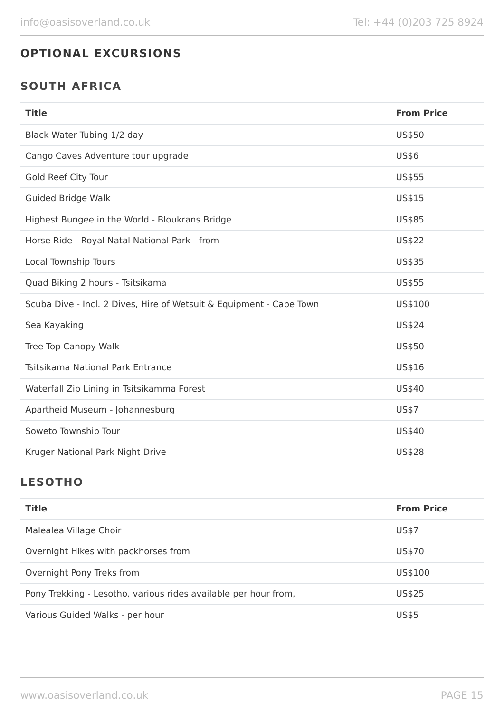# **OPTIONAL EXCURSIONS**

# **SOUTH AFRICA**

| <b>Title</b>                                                        | <b>From Price</b> |
|---------------------------------------------------------------------|-------------------|
| Black Water Tubing 1/2 day                                          | US\$50            |
| Cango Caves Adventure tour upgrade                                  | <b>US\$6</b>      |
| Gold Reef City Tour                                                 | <b>US\$55</b>     |
| <b>Guided Bridge Walk</b>                                           | US\$15            |
| Highest Bungee in the World - Bloukrans Bridge                      | US\$85            |
| Horse Ride - Royal Natal National Park - from                       | <b>US\$22</b>     |
| Local Township Tours                                                | <b>US\$35</b>     |
| Quad Biking 2 hours - Tsitsikama                                    | US\$55            |
| Scuba Dive - Incl. 2 Dives, Hire of Wetsuit & Equipment - Cape Town | US\$100           |
| Sea Kayaking                                                        | <b>US\$24</b>     |
| Tree Top Canopy Walk                                                | US\$50            |
| Tsitsikama National Park Entrance                                   | US\$16            |
| Waterfall Zip Lining in Tsitsikamma Forest                          | US\$40            |
| Apartheid Museum - Johannesburg                                     | <b>US\$7</b>      |
| Soweto Township Tour                                                | US\$40            |
| Kruger National Park Night Drive                                    | <b>US\$28</b>     |

# **LESOTHO**

| <b>Title</b>                                                    | <b>From Price</b> |
|-----------------------------------------------------------------|-------------------|
| Malealea Village Choir                                          | US\$7             |
| Overnight Hikes with packhorses from                            | US\$70            |
| Overnight Pony Treks from                                       | US\$100           |
| Pony Trekking - Lesotho, various rides available per hour from, | US\$25            |
| Various Guided Walks - per hour                                 | <b>US\$5</b>      |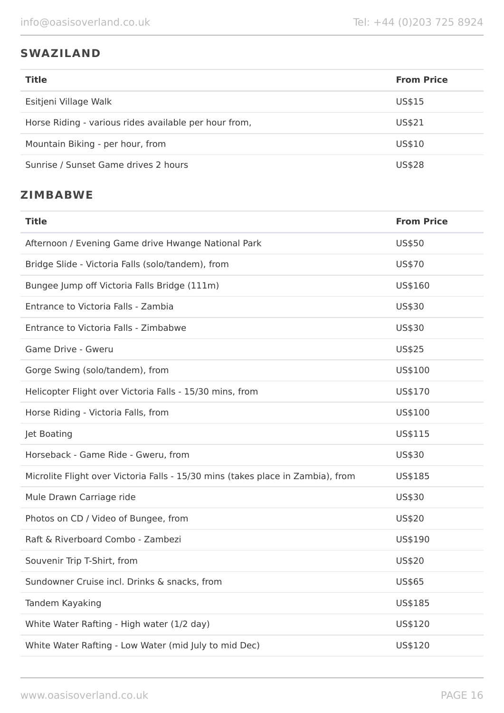# **SWAZILAND**

| <b>Title</b>                                          | <b>From Price</b> |
|-------------------------------------------------------|-------------------|
| Esitjeni Village Walk                                 | US\$15            |
| Horse Riding - various rides available per hour from, | US\$21            |
| Mountain Biking - per hour, from                      | US\$10            |
| Sunrise / Sunset Game drives 2 hours                  | <b>US\$28</b>     |

# **ZIMBABWE**

| <b>Title</b>                                                                    | <b>From Price</b> |
|---------------------------------------------------------------------------------|-------------------|
| Afternoon / Evening Game drive Hwange National Park                             | US\$50            |
| Bridge Slide - Victoria Falls (solo/tandem), from                               | US\$70            |
| Bungee Jump off Victoria Falls Bridge (111m)                                    | US\$160           |
| Entrance to Victoria Falls - Zambia                                             | US\$30            |
| Entrance to Victoria Falls - Zimbabwe                                           | US\$30            |
| Game Drive - Gweru                                                              | US\$25            |
| Gorge Swing (solo/tandem), from                                                 | US\$100           |
| Helicopter Flight over Victoria Falls - 15/30 mins, from                        | US\$170           |
| Horse Riding - Victoria Falls, from                                             | US\$100           |
| Jet Boating                                                                     | US\$115           |
| Horseback - Game Ride - Gweru, from                                             | US\$30            |
| Microlite Flight over Victoria Falls - 15/30 mins (takes place in Zambia), from | US\$185           |
| Mule Drawn Carriage ride                                                        | US\$30            |
| Photos on CD / Video of Bungee, from                                            | US\$20            |
| Raft & Riverboard Combo - Zambezi                                               | US\$190           |
| Souvenir Trip T-Shirt, from                                                     | US\$20            |
| Sundowner Cruise incl. Drinks & snacks, from                                    | US\$65            |
| Tandem Kayaking                                                                 | US\$185           |
| White Water Rafting - High water (1/2 day)                                      | US\$120           |
| White Water Rafting - Low Water (mid July to mid Dec)                           | US\$120           |